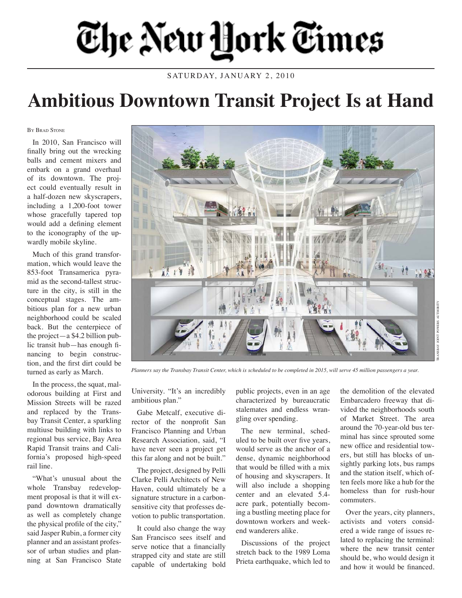## The New Hork Times

SATURDAY, JANUARY 2, 2010

## **Ambitious Downtown Transit Project Is at Hand**

BY BRAD STONE

In 2010, San Francisco will finally bring out the wrecking balls and cement mixers and embark on a grand overhaul of its downtown. The project could eventually result in a half-dozen new skyscrapers, including a 1,200-foot tower whose gracefully tapered top would add a defining element to the iconography of the upwardly mobile skyline.

Much of this grand transformation, which would leave the 853-foot Transamerica pyramid as the second-tallest structure in the city, is still in the conceptual stages. The ambitious plan for a new urban neighborhood could be scaled back. But the centerpiece of the project—a \$4.2 billion public transit hub—has enough financing to begin construction, and the first dirt could be turned as early as March.

In the process, the squat, malodorous building at First and Mission Streets will be razed and replaced by the Transbay Transit Center, a sparkling multiuse building with links to regional bus service, Bay Area Rapid Transit trains and California's proposed high-speed rail line.

"What's unusual about the whole Transbay redevelopment proposal is that it will expand downtown dramatically as well as completely change the physical profile of the city," said Jasper Rubin, a former city planner and an assistant professor of urban studies and planning at San Francisco State



*Planners say the Transbay Transit Center, which is scheduled to be completed in 2015, will serve 45 million passengers a year.* 

University. "It's an incredibly ambitious plan."

Gabe Metcalf, executive director of the nonprofit San Francisco Planning and Urban Research Association, said, "I have never seen a project get this far along and not be built."

The project, designed by Pelli Clarke Pelli Architects of New Haven, could ultimately be a signature structure in a carbonsensitive city that professes devotion to public transportation.

It could also change the way San Francisco sees itself and serve notice that a financially strapped city and state are still capable of undertaking bold public projects, even in an age characterized by bureaucratic stalemates and endless wrangling over spending.

The new terminal, scheduled to be built over five years, would serve as the anchor of a dense, dynamic neighborhood that would be filled with a mix of housing and skyscrapers. It will also include a shopping center and an elevated 5.4 acre park, potentially becoming a bustling meeting place for downtown workers and weekend wanderers alike.

Discussions of the project stretch back to the 1989 Loma Prieta earthquake, which led to

the demolition of the elevated Embarcadero freeway that divided the neighborhoods south of Market Street. The area around the 70-year-old bus terminal has since sprouted some new office and residential towers, but still has blocks of unsightly parking lots, bus ramps and the station itself, which often feels more like a hub for the homeless than for rush-hour commuters.

Over the years, city planners, activists and voters considered a wide range of issues related to replacing the terminal: where the new transit center should be, who would design it and how it would be financed.